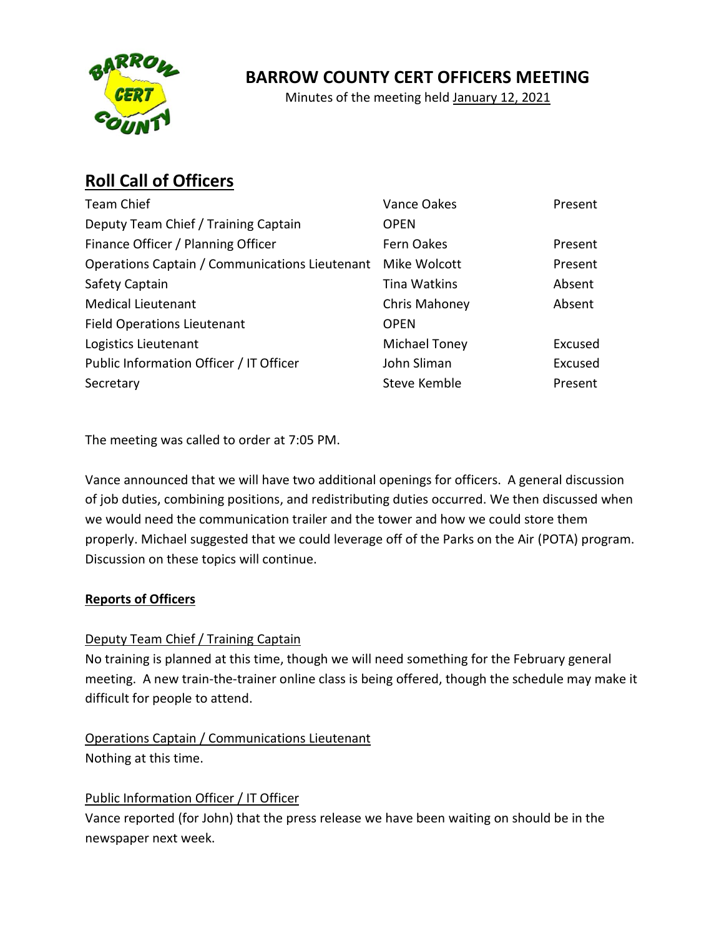

## **BARROW COUNTY CERT OFFICERS MEETING**

Minutes of the meeting held January 12, 2021

# **Roll Call of Officers**

| <b>Team Chief</b>                              | Vance Oakes   | Present |
|------------------------------------------------|---------------|---------|
| Deputy Team Chief / Training Captain           | <b>OPEN</b>   |         |
| Finance Officer / Planning Officer             | Fern Oakes    | Present |
| Operations Captain / Communications Lieutenant | Mike Wolcott  | Present |
| Safety Captain                                 | Tina Watkins  | Absent  |
| <b>Medical Lieutenant</b>                      | Chris Mahoney | Absent  |
| <b>Field Operations Lieutenant</b>             | <b>OPEN</b>   |         |
| Logistics Lieutenant                           | Michael Toney | Excused |
| Public Information Officer / IT Officer        | John Sliman   | Excused |
| Secretary                                      | Steve Kemble  | Present |

The meeting was called to order at 7:05 PM.

Vance announced that we will have two additional openings for officers. A general discussion of job duties, combining positions, and redistributing duties occurred. We then discussed when we would need the communication trailer and the tower and how we could store them properly. Michael suggested that we could leverage off of the Parks on the Air (POTA) program. Discussion on these topics will continue.

## **Reports of Officers**

## Deputy Team Chief / Training Captain

No training is planned at this time, though we will need something for the February general meeting. A new train-the-trainer online class is being offered, though the schedule may make it difficult for people to attend.

Operations Captain / Communications Lieutenant Nothing at this time.

#### Public Information Officer / IT Officer

Vance reported (for John) that the press release we have been waiting on should be in the newspaper next week.